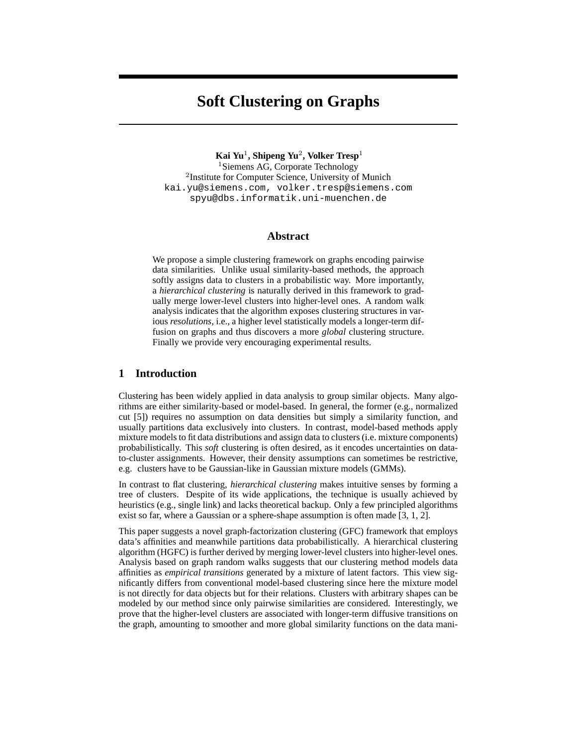# **Soft Clustering on Graphs**

**Kai Yu**<sup>1</sup> **, Shipeng Yu**<sup>2</sup> **, Volker Tresp**<sup>1</sup>

<sup>1</sup>Siemens AG, Corporate Technology <sup>2</sup>Institute for Computer Science, University of Munich kai.yu@siemens.com, volker.tresp@siemens.com spyu@dbs.informatik.uni-muenchen.de

#### **Abstract**

We propose a simple clustering framework on graphs encoding pairwise data similarities. Unlike usual similarity-based methods, the approach softly assigns data to clusters in a probabilistic way. More importantly, a *hierarchical clustering* is naturally derived in this framework to gradually merge lower-level clusters into higher-level ones. A random walk analysis indicates that the algorithm exposes clustering structures in various *resolutions*, i.e., a higher level statistically models a longer-term diffusion on graphs and thus discovers a more *global* clustering structure. Finally we provide very encouraging experimental results.

# **1 Introduction**

Clustering has been widely applied in data analysis to group similar objects. Many algorithms are either similarity-based or model-based. In general, the former (e.g., normalized cut [5]) requires no assumption on data densities but simply a similarity function, and usually partitions data exclusively into clusters. In contrast, model-based methods apply mixture models to fit data distributions and assign data to clusters (i.e. mixture components) probabilistically. This *soft* clustering is often desired, as it encodes uncertainties on datato-cluster assignments. However, their density assumptions can sometimes be restrictive, e.g. clusters have to be Gaussian-like in Gaussian mixture models (GMMs).

In contrast to flat clustering, *hierarchical clustering* makes intuitive senses by forming a tree of clusters. Despite of its wide applications, the technique is usually achieved by heuristics (e.g., single link) and lacks theoretical backup. Only a few principled algorithms exist so far, where a Gaussian or a sphere-shape assumption is often made [3, 1, 2].

This paper suggests a novel graph-factorization clustering (GFC) framework that employs data's affinities and meanwhile partitions data probabilistically. A hierarchical clustering algorithm (HGFC) is further derived by merging lower-level clusters into higher-level ones. Analysis based on graph random walks suggests that our clustering method models data affinities as *empirical transitions* generated by a mixture of latent factors. This view significantly differs from conventional model-based clustering since here the mixture model is not directly for data objects but for their relations. Clusters with arbitrary shapes can be modeled by our method since only pairwise similarities are considered. Interestingly, we prove that the higher-level clusters are associated with longer-term diffusive transitions on the graph, amounting to smoother and more global similarity functions on the data mani-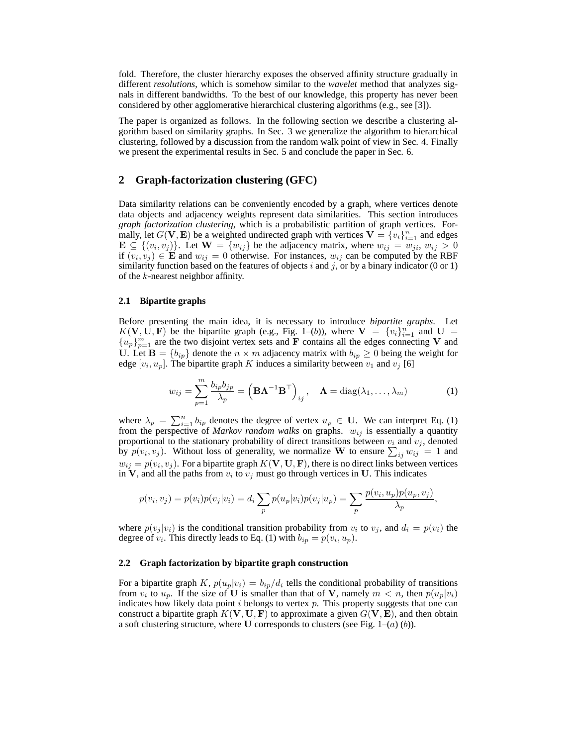fold. Therefore, the cluster hierarchy exposes the observed affinity structure gradually in different *resolutions*, which is somehow similar to the *wavelet* method that analyzes signals in different bandwidths. To the best of our knowledge, this property has never been considered by other agglomerative hierarchical clustering algorithms (e.g., see [3]).

The paper is organized as follows. In the following section we describe a clustering algorithm based on similarity graphs. In Sec. 3 we generalize the algorithm to hierarchical clustering, followed by a discussion from the random walk point of view in Sec. 4. Finally we present the experimental results in Sec. 5 and conclude the paper in Sec. 6.

## **2 Graph-factorization clustering (GFC)**

Data similarity relations can be conveniently encoded by a graph, where vertices denote data objects and adjacency weights represent data similarities. This section introduces *graph factorization clustering*, which is a probabilistic partition of graph vertices. Formally, let  $G(V, E)$  be a weighted undirected graph with vertices  $V = \{v_i\}_{i=1}^n$  and edges  $\mathbf{E} \subseteq \{ (v_i, v_j) \}$ . Let  $\mathbf{W} = \{ w_{ij} \}$  be the adjacency matrix, where  $w_{ij} = w_{ji}$ ,  $w_{ij} > 0$ if  $(v_i, v_j) \in \mathbf{E}$  and  $w_{ij} = 0$  otherwise. For instances,  $w_{ij}$  can be computed by the RBF similarity function based on the features of objects i and j, or by a binary indicator (0 or 1) of the k-nearest neighbor affinity.

#### **2.1 Bipartite graphs**

Before presenting the main idea, it is necessary to introduce *bipartite graphs*. Let  $K(V, \overline{U}, \mathbf{F})$  be the bipartite graph (e.g., Fig. 1–(b)), where  $V = \{v_i\}_{i=1}^n$  and  $U =$  ${u_p}_{p=1}^m$  are the two disjoint vertex sets and **F** contains all the edges connecting V and U. Let  $\mathbf{B} = \{b_{ip}\}\$  denote the  $n \times m$  adjacency matrix with  $b_{ip} \geq 0$  being the weight for edge  $[v_i, u_p]$ . The bipartite graph K induces a similarity between  $v_1$  and  $v_j$  [6]

$$
w_{ij} = \sum_{p=1}^{m} \frac{b_{ip} b_{jp}}{\lambda_p} = \left( \mathbf{B} \mathbf{\Lambda}^{-1} \mathbf{B}^{\top} \right)_{ij}, \quad \mathbf{\Lambda} = \text{diag}(\lambda_1, \dots, \lambda_m)
$$
 (1)

where  $\lambda_p = \sum_{i=1}^n b_{ip}$  denotes the degree of vertex  $u_p \in U$ . We can interpret Eq. (1) from the perspective of *Markov random walks* on graphs.  $w_{ij}$  is essentially a quantity proportional to the stationary probability of direct transitions between  $v_i$  and  $v_j$ , denoted by  $p(v_i, v_j)$ . Without loss of generality, we normalize W to ensure  $\sum_{ij} w_{ij} = 1$  and  $w_{ij} = p(v_i, v_j)$ . For a bipartite graph  $K(V, U, F)$ , there is no direct links between vertices in V, and all the paths from  $v_i$  to  $v_j$  must go through vertices in U. This indicates

$$
p(v_i, v_j) = p(v_i)p(v_j|v_i) = d_i \sum_p p(u_p|v_i)p(v_j|u_p) = \sum_p \frac{p(v_i, u_p)p(u_p, v_j)}{\lambda_p},
$$

where  $p(v_j | v_i)$  is the conditional transition probability from  $v_i$  to  $v_j$ , and  $d_i = p(v_i)$  the degree of  $v_i$ . This directly leads to Eq. (1) with  $b_{ip} = p(v_i, u_p)$ .

#### **2.2 Graph factorization by bipartite graph construction**

For a bipartite graph K,  $p(u_p|v_i) = b_{ip}/d_i$  tells the conditional probability of transitions from  $v_i$  to  $u_p$ . If the size of U is smaller than that of V, namely  $m < n$ , then  $p(u_p|v_i)$ indicates how likely data point i belongs to vertex  $p$ . This property suggests that one can construct a bipartite graph  $K(V, U, F)$  to approximate a given  $G(V, E)$ , and then obtain a soft clustering structure, where U corresponds to clusters (see Fig.  $1-(a)(b)$ ).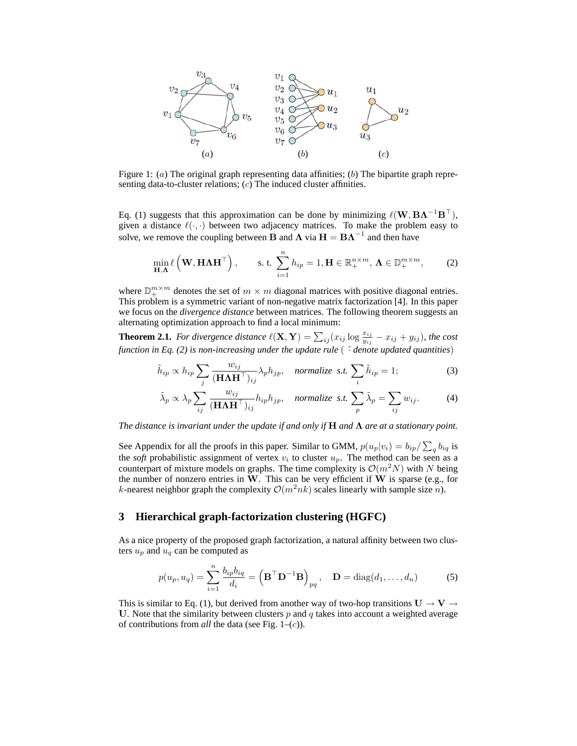

Figure 1:  $(a)$  The original graph representing data affinities;  $(b)$  The bipartite graph representing data-to-cluster relations; (c) The induced cluster affinities.

Eq. (1) suggests that this approximation can be done by minimizing  $\ell(W, B\Lambda^{-1}B^{T})$ , given a distance  $\ell(\cdot, \cdot)$  between two adjacency matrices. To make the problem easy to solve, we remove the coupling between **B** and  $\Lambda$  via  $H = BA^{-1}$  and then have

$$
\min_{\mathbf{H},\mathbf{\Lambda}} \ell\left(\mathbf{W}, \mathbf{H}\mathbf{\Lambda}\mathbf{H}^{\top}\right), \qquad \text{s. t. } \sum_{i=1}^{n} h_{ip} = 1, \mathbf{H} \in \mathbb{R}_{+}^{n \times m}, \ \mathbf{\Lambda} \in \mathbb{D}_{+}^{m \times m}, \tag{2}
$$

where  $\mathbb{D}_{+}^{m \times m}$  denotes the set of  $m \times m$  diagonal matrices with positive diagonal entries. This problem is a symmetric variant of non-negative matrix factorization [4]. In this paper we focus on the *divergence distance* between matrices. The following theorem suggests an alternating optimization approach to find a local minimum:

**Theorem 2.1.** *For divergence distance*  $\ell(X, Y) = \sum_{ij} (x_{ij} \log \frac{x_{ij}}{y_{ij}} - x_{ij} + y_{ij})$ *, the cost function in Eq. (2) is non-increasing under the update rule* ( ˜· *denote updated quantities*)

$$
\tilde{h}_{ip} \propto h_{ip} \sum_{j} \frac{w_{ij}}{(\mathbf{H\Lambda H}^{\top})_{ij}} \lambda_p h_{jp}, \quad \text{normalize s.t.} \sum_{i} \tilde{h}_{ip} = 1; \tag{3}
$$

$$
\tilde{\lambda}_p \propto \lambda_p \sum_{ij} \frac{w_{ij}}{(\mathbf{H} \mathbf{\Lambda} \mathbf{H}^{\top})_{ij}} h_{ip} h_{jp}, \quad \text{normalize s.t. } \sum_p \tilde{\lambda}_p = \sum_{ij} w_{ij}.
$$
 (4)

*The distance is invariant under the update if and only if* H *and* Λ *are at a stationary point.*

See Appendix for all the proofs in this paper. Similar to GMM,  $p(u_p|v_i) = b_{ip}/\sum_q b_{iq}$  is the *soft* probabilistic assignment of vertex  $v_i$  to cluster  $u_p$ . The method can be seen as a counterpart of mixture models on graphs. The time complexity is  $\mathcal{O}(m^2N)$  with N being the number of nonzero entries in  $W$ . This can be very efficient if  $W$  is sparse (e.g., for k-nearest neighbor graph the complexity  $\mathcal{O}(m^2nk)$  scales linearly with sample size n).

## **3 Hierarchical graph-factorization clustering (HGFC)**

As a nice property of the proposed graph factorization, a natural affinity between two clusters  $u_p$  and  $u_q$  can be computed as

$$
p(u_p, u_q) = \sum_{i=1}^n \frac{b_{ip} b_{iq}}{d_i} = \left(\mathbf{B}^\top \mathbf{D}^{-1} \mathbf{B}\right)_{pq}, \quad \mathbf{D} = \text{diag}(d_1, \dots, d_n) \tag{5}
$$

This is similar to Eq. (1), but derived from another way of two-hop transitions  $U \rightarrow V \rightarrow$ U. Note that the similarity between clusters  $p$  and  $q$  takes into account a weighted average of contributions from *all* the data (see Fig. 1–(c)).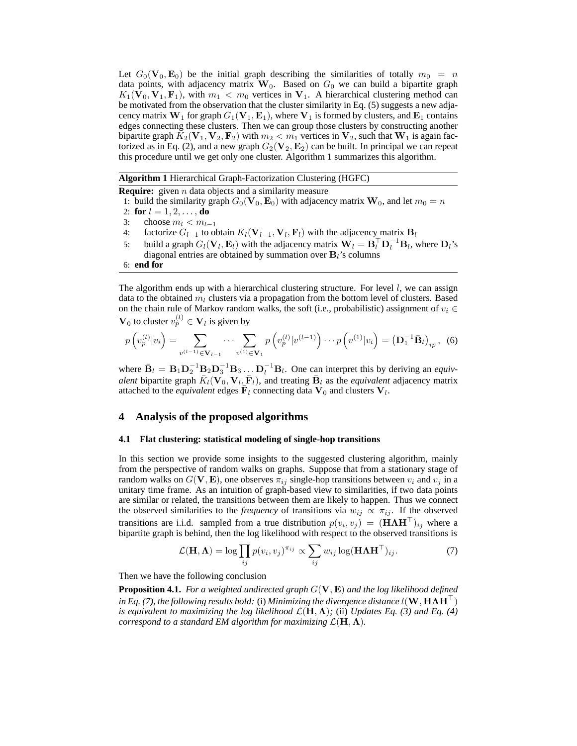Let  $G_0$ ( $V_0$ ,  $E_0$ ) be the initial graph describing the similarities of totally  $m_0 = n$ data points, with adjacency matrix  $W_0$ . Based on  $G_0$  we can build a bipartite graph  $K_1(\mathbf{V}_0, \mathbf{V}_1, \mathbf{F}_1)$ , with  $m_1 < m_0$  vertices in  $\mathbf{V}_1$ . A hierarchical clustering method can be motivated from the observation that the cluster similarity in Eq. (5) suggests a new adjacency matrix  $W_1$  for graph  $G_1(V_1, E_1)$ , where  $V_1$  is formed by clusters, and  $E_1$  contains edges connecting these clusters. Then we can group those clusters by constructing another bipartite graph  $K_2(\mathbf{V}_1, \mathbf{V}_2, \mathbf{F}_2)$  with  $m_2 < m_1$  vertices in  $\mathbf{V}_2$ , such that  $\mathbf{W}_1$  is again factorized as in Eq. (2), and a new graph  $G_2(\mathbf{V}_2, \mathbf{E}_2)$  can be built. In principal we can repeat this procedure until we get only one cluster. Algorithm 1 summarizes this algorithm.

**Algorithm 1** Hierarchical Graph-Factorization Clustering (HGFC)

**Require:** given *n* data objects and a similarity measure

1: build the similarity graph  $G_0(\mathbf{V}_0, \mathbf{E}_0)$  with adjacency matrix  $\mathbf{W}_0$ , and let  $m_0 = n$ 

- 2: **for**  $l = 1, 2, ...,$  **do**
- 3: choose  $m_l < m_{l-1}$
- 4: factorize  $G_{l-1}$  to obtain  $K_l(\mathbf{V}_{l-1}, \mathbf{V}_l, \mathbf{F}_l)$  with the adjacency matrix  $\mathbf{B}_l$
- 5: build a graph  $G_l(\mathbf{V}_l, \mathbf{E}_l)$  with the adjacency matrix  $\mathbf{W}_l = \mathbf{B}_l^{\top} \mathbf{D}_l^{-1} \mathbf{B}_l$ , where  $\mathbf{D}_l$ 's diagonal entries are obtained by summation over  $B_l$ 's columns
- 6: **end for**

The algorithm ends up with a hierarchical clustering structure. For level  $l$ , we can assign data to the obtained  $m_l$  clusters via a propagation from the bottom level of clusters. Based on the chain rule of Markov random walks, the soft (i.e., probabilistic) assignment of  $v_i \in$  $\mathbf{V}_0$  to cluster  $v_p^{(l)} \in \mathbf{V}_l$  is given by

$$
p\left(v_p^{(l)}|v_i\right) = \sum_{v^{(l-1)} \in \mathbf{V}_{l-1}} \cdots \sum_{v^{(1)} \in \mathbf{V}_1} p\left(v_p^{(l)}|v^{(l-1)}\right) \cdots p\left(v^{(1)}|v_i\right) = \left(\mathbf{D}_1^{-1} \bar{\mathbf{B}}_l\right)_{ip}, \tag{6}
$$

where  $\bar{\mathbf{B}}_l = \mathbf{B}_1 \mathbf{D}_2^{-1} \mathbf{B}_2 \mathbf{D}_3^{-1} \mathbf{B}_3 \dots \mathbf{D}_l^{-1} \mathbf{B}_l$ . One can interpret this by deriving an *equivalent* bipartite graph  $\bar{K}_l(\vec{V}_0, V_l, \bar{F}_l)$ , and treating  $\bar{B}_l$  as the *equivalent* adjacency matrix attached to the *equivalent* edges  $\overline{\mathbf{F}}_l$  connecting data  $\mathbf{V}_0$  and clusters  $\mathbf{V}_l$ .

#### **4 Analysis of the proposed algorithms**

#### **4.1 Flat clustering: statistical modeling of single-hop transitions**

In this section we provide some insights to the suggested clustering algorithm, mainly from the perspective of random walks on graphs. Suppose that from a stationary stage of random walks on  $G(V, E)$ , one observes  $\pi_{ij}$  single-hop transitions between  $v_i$  and  $v_j$  in a unitary time frame. As an intuition of graph-based view to similarities, if two data points are similar or related, the transitions between them are likely to happen. Thus we connect the observed similarities to the *frequency* of transitions via  $w_{ij} \propto \pi_{ij}$ . If the observed transitions are i.i.d. sampled from a true distribution  $p(v_i, v_j) = (\mathbf{H}\Lambda\mathbf{H}^{\top})_{ij}$  where a bipartite graph is behind, then the log likelihood with respect to the observed transitions is

$$
\mathcal{L}(\mathbf{H}, \mathbf{\Lambda}) = \log \prod_{ij} p(v_i, v_j)^{\pi_{ij}} \propto \sum_{ij} w_{ij} \log(\mathbf{H} \mathbf{\Lambda} \mathbf{H}^{\top})_{ij}.
$$
 (7)

Then we have the following conclusion

**Proposition 4.1.** *For a weighted undirected graph* G(V, E) *and the log likelihood defined in Eq. (7), the following results hold:* (i) *Minimizing the divergence distance*  $l(W, HAH^{\dagger})$ *is equivalent to maximizing the log likelihood*  $\mathcal{L}(\mathbf{H}, \mathbf{\Lambda})$ *;* (ii) *Updates Eq. (3) and Eq. (4) correspond to a standard EM algorithm for maximizing*  $\mathcal{L}(\mathbf{H}, \mathbf{\Lambda})$ *.*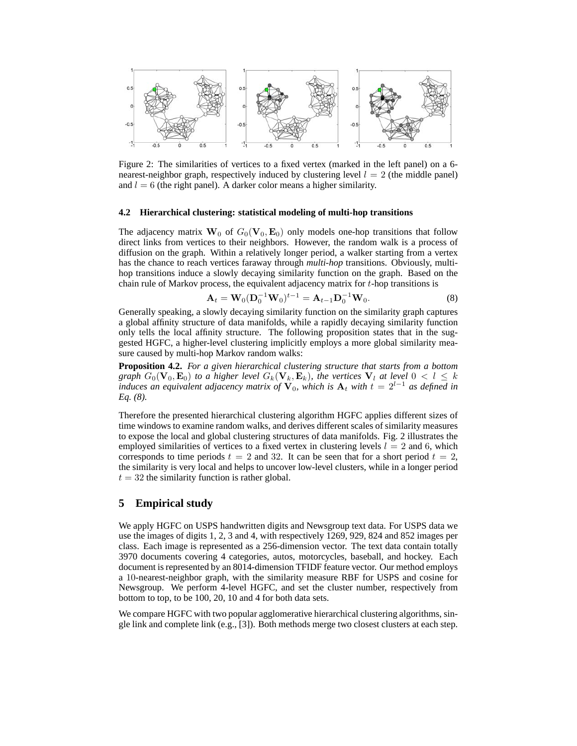

Figure 2: The similarities of vertices to a fixed vertex (marked in the left panel) on a 6 nearest-neighbor graph, respectively induced by clustering level  $l = 2$  (the middle panel) and  $l = 6$  (the right panel). A darker color means a higher similarity.

#### **4.2 Hierarchical clustering: statistical modeling of multi-hop transitions**

The adjacency matrix  $\mathbf{W}_0$  of  $G_0(\mathbf{V}_0, \mathbf{E}_0)$  only models one-hop transitions that follow direct links from vertices to their neighbors. However, the random walk is a process of diffusion on the graph. Within a relatively longer period, a walker starting from a vertex has the chance to reach vertices faraway through *multi-hop* transitions. Obviously, multihop transitions induce a slowly decaying similarity function on the graph. Based on the chain rule of Markov process, the equivalent adjacency matrix for t-hop transitions is

$$
\mathbf{A}_t = \mathbf{W}_0 (\mathbf{D}_0^{-1} \mathbf{W}_0)^{t-1} = \mathbf{A}_{t-1} \mathbf{D}_0^{-1} \mathbf{W}_0.
$$
 (8)

Generally speaking, a slowly decaying similarity function on the similarity graph captures a global affinity structure of data manifolds, while a rapidly decaying similarity function only tells the local affinity structure. The following proposition states that in the suggested HGFC, a higher-level clustering implicitly employs a more global similarity measure caused by multi-hop Markov random walks:

**Proposition 4.2.** *For a given hierarchical clustering structure that starts from a bottom graph*  $G_0$ ( $V_0$ ,  $E_0$ ) *to a higher level*  $G_k$ ( $V_k$ ,  $E_k$ ), *the vertices*  $V_l$  *at level*  $0 < l \leq k$ *induces an equivalent adjacency matrix of*  $V_0$ *, which is*  $A_t$  *with*  $t = 2^{l-1}$  *as defined in Eq. (8).*

Therefore the presented hierarchical clustering algorithm HGFC applies different sizes of time windows to examine random walks, and derives different scales of similarity measures to expose the local and global clustering structures of data manifolds. Fig. 2 illustrates the employed similarities of vertices to a fixed vertex in clustering levels  $l = 2$  and 6, which corresponds to time periods  $t = 2$  and 32. It can be seen that for a short period  $t = 2$ , the similarity is very local and helps to uncover low-level clusters, while in a longer period  $t = 32$  the similarity function is rather global.

## **5 Empirical study**

We apply HGFC on USPS handwritten digits and Newsgroup text data. For USPS data we use the images of digits 1, 2, 3 and 4, with respectively 1269, 929, 824 and 852 images per class. Each image is represented as a 256-dimension vector. The text data contain totally 3970 documents covering 4 categories, autos, motorcycles, baseball, and hockey. Each document is represented by an 8014-dimension TFIDF feature vector. Our method employs a 10-nearest-neighbor graph, with the similarity measure RBF for USPS and cosine for Newsgroup. We perform 4-level HGFC, and set the cluster number, respectively from bottom to top, to be 100, 20, 10 and 4 for both data sets.

We compare HGFC with two popular agglomerative hierarchical clustering algorithms, single link and complete link (e.g., [3]). Both methods merge two closest clusters at each step.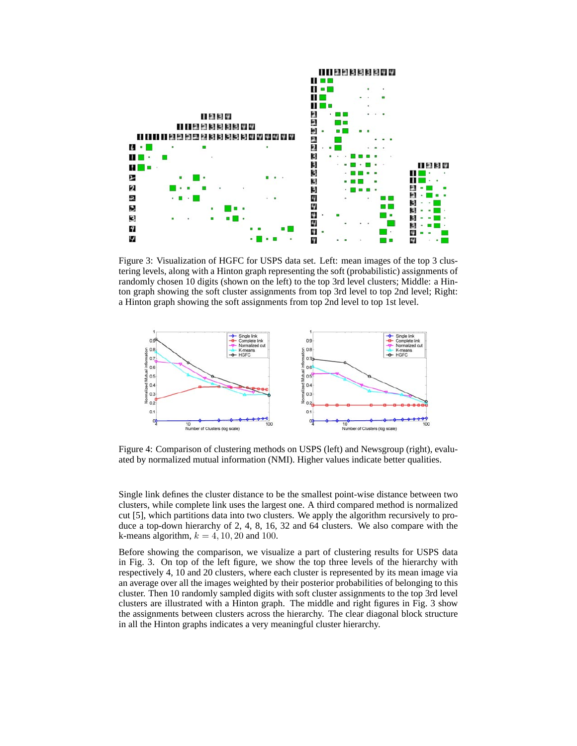

Figure 3: Visualization of HGFC for USPS data set. Left: mean images of the top 3 clustering levels, along with a Hinton graph representing the soft (probabilistic) assignments of randomly chosen 10 digits (shown on the left) to the top 3rd level clusters; Middle: a Hinton graph showing the soft cluster assignments from top 3rd level to top 2nd level; Right: a Hinton graph showing the soft assignments from top 2nd level to top 1st level.



Figure 4: Comparison of clustering methods on USPS (left) and Newsgroup (right), evaluated by normalized mutual information (NMI). Higher values indicate better qualities.

Single link defines the cluster distance to be the smallest point-wise distance between two clusters, while complete link uses the largest one. A third compared method is normalized cut [5], which partitions data into two clusters. We apply the algorithm recursively to produce a top-down hierarchy of 2, 4, 8, 16, 32 and 64 clusters. We also compare with the k-means algorithm,  $k = 4, 10, 20$  and 100.

Before showing the comparison, we visualize a part of clustering results for USPS data in Fig. 3. On top of the left figure, we show the top three levels of the hierarchy with respectively 4, 10 and 20 clusters, where each cluster is represented by its mean image via an average over all the images weighted by their posterior probabilities of belonging to this cluster. Then 10 randomly sampled digits with soft cluster assignments to the top 3rd level clusters are illustrated with a Hinton graph. The middle and right figures in Fig. 3 show the assignments between clusters across the hierarchy. The clear diagonal block structure in all the Hinton graphs indicates a very meaningful cluster hierarchy.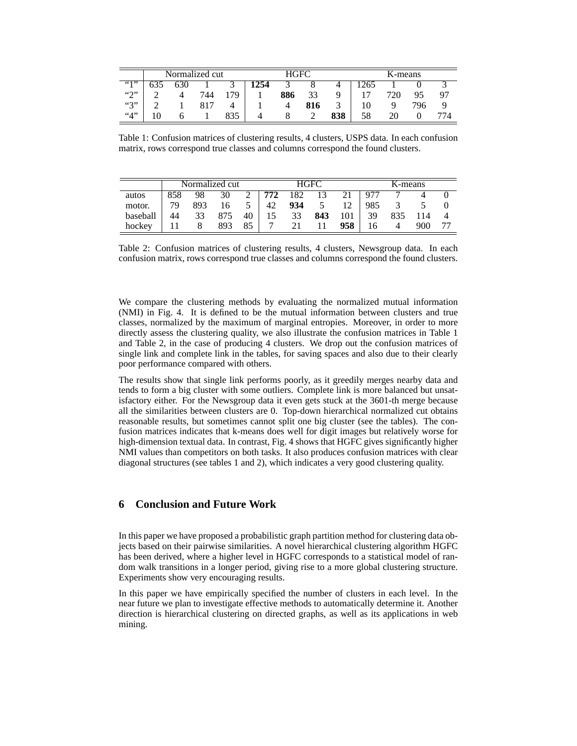|                     | Normalized cut |     |     |     |      | HGFC |     |          | K-means |     |     |     |  |
|---------------------|----------------|-----|-----|-----|------|------|-----|----------|---------|-----|-----|-----|--|
| 66199               |                | 630 |     |     | 1254 |      |     |          | 265     |     |     |     |  |
| 55233               |                | 4   | 744 | 79  |      | 886  | 33  | $\Omega$ |         | 720 | 95  | 97  |  |
| $\mathfrak{so}_{2}$ |                |     | 817 |     |      |      | 816 |          | .0      | Q   | 796 |     |  |
| ``4"                | .0             |     |     | 835 |      |      |     | 838      | 58      | 20  |     | 774 |  |

Table 1: Confusion matrices of clustering results, 4 clusters, USPS data. In each confusion matrix, rows correspond true classes and columns correspond the found clusters.

|          |     | Normalized cut |     |    |     |     | <b>HGFC</b> |     | K-means |     |     |  |
|----------|-----|----------------|-----|----|-----|-----|-------------|-----|---------|-----|-----|--|
| autos    | 858 | 98             | 30  |    | 772 | 182 | 13          |     | 977     |     |     |  |
| motor.   | 79  | 893            | 16  |    | 42  | 934 |             | 12  | 985     |     |     |  |
| baseball | 44  | 33             | 875 | 40 | 15  | 33  | 843         | 101 | 39      | 835 | 114 |  |
| hockey   |     |                | 893 | 85 |     |     |             | 958 | 16      | Δ   | 900 |  |

Table 2: Confusion matrices of clustering results, 4 clusters, Newsgroup data. In each confusion matrix, rows correspond true classes and columns correspond the found clusters.

We compare the clustering methods by evaluating the normalized mutual information (NMI) in Fig. 4. It is defined to be the mutual information between clusters and true classes, normalized by the maximum of marginal entropies. Moreover, in order to more directly assess the clustering quality, we also illustrate the confusion matrices in Table 1 and Table 2, in the case of producing 4 clusters. We drop out the confusion matrices of single link and complete link in the tables, for saving spaces and also due to their clearly poor performance compared with others.

The results show that single link performs poorly, as it greedily merges nearby data and tends to form a big cluster with some outliers. Complete link is more balanced but unsatisfactory either. For the Newsgroup data it even gets stuck at the 3601-th merge because all the similarities between clusters are 0. Top-down hierarchical normalized cut obtains reasonable results, but sometimes cannot split one big cluster (see the tables). The confusion matrices indicates that k-means does well for digit images but relatively worse for high-dimension textual data. In contrast, Fig. 4 shows that HGFC gives significantly higher NMI values than competitors on both tasks. It also produces confusion matrices with clear diagonal structures (see tables 1 and 2), which indicates a very good clustering quality.

# **6 Conclusion and Future Work**

In this paper we have proposed a probabilistic graph partition method for clustering data objects based on their pairwise similarities. A novel hierarchical clustering algorithm HGFC has been derived, where a higher level in HGFC corresponds to a statistical model of random walk transitions in a longer period, giving rise to a more global clustering structure. Experiments show very encouraging results.

In this paper we have empirically specified the number of clusters in each level. In the near future we plan to investigate effective methods to automatically determine it. Another direction is hierarchical clustering on directed graphs, as well as its applications in web mining.